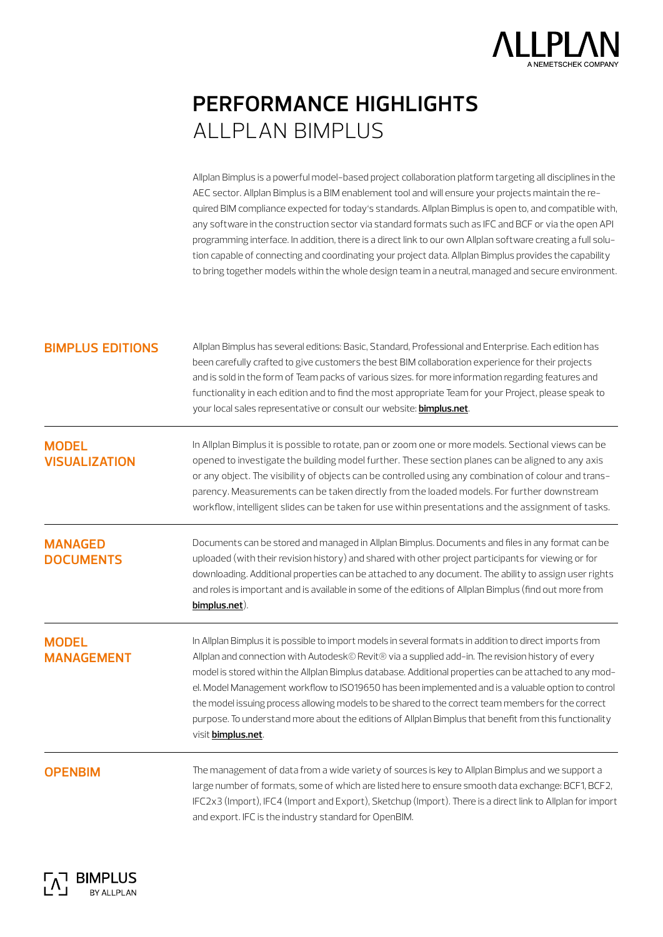

## **performance highlights** ALLPLAN BIMplus

Allplan Bimplus is a powerful model-based project collaboration platform targeting all disciplines in the AEC sector. Allplan Bimplus is a BIM enablement tool and will ensure your projects maintain the required BIM compliance expected for today's standards. Allplan Bimplus is open to, and compatible with, any software in the construction sector via standard formats such as IFC and BCF or via the open API programming interface. In addition, there is a direct link to our own Allplan software creating a full solution capable of connecting and coordinating your project data. Allplan Bimplus provides the capability to bring together models within the whole design team in a neutral, managed and secure environment.

| <b>BIMPLUS EDITIONS</b> |  |  |  |  |
|-------------------------|--|--|--|--|
|                         |  |  |  |  |
|                         |  |  |  |  |

**bimplus editions** Allplan Bimplus has several editions: Basic, Standard, Professional and Enterprise. Each edition has been carefully crafted to give customers the best BIM collaboration experience for their projects and is sold in the form of Team packs of various sizes. for more information regarding features and functionality in each edition and to find the most appropriate Team for your Project, please speak to your local sales representative or consult our website: **[bimplus.net](http://www.bimplus.net)**.

**MODEL VISUALIzATION** In Allplan Bimplus it is possible to rotate, pan or zoom one or more models. Sectional views can be opened to investigate the building model further. These section planes can be aligned to any axis or any object. The visibility of objects can be controlled using any combination of colour and transparency. Measurements can be taken directly from the loaded models. For further downstream workflow, intelligent slides can be taken for use within presentations and the assignment of tasks.

**MANAGED DOCUMENTS** Documents can be stored and managed in Allplan Bimplus. Documents and files in any format can be uploaded (with their revision history) and shared with other project participants for viewing or for downloading. Additional properties can be attached to any document. The ability to assign user rights and roles is important and is available in some of the editions of Allplan Bimplus (find out more from **[bimplus.net](http://www.bimplus.net)**).

## **MODEL MANAGEMENT**

In Allplan Bimplus it is possible to import models in several formats in addition to direct imports from Allplan and connection with Autodesk© Revit® via a supplied add-in. The revision history of every model is stored within the Allplan Bimplus database. Additional properties can be attached to any model. Model Management workflow to ISO19650 has been implemented and is a valuable option to control the model issuing process allowing models to be shared to the correct team members for the correct purpose. To understand more about the editions of Allplan Bimplus that benefit from this functionality visit **[bimplus.net](http://www.bimplus.net)**.

**OPENBIM** The management of data from a wide variety of sources is key to Allplan Bimplus and we support a large number of formats, some of which are listed here to ensure smooth data exchange: BCF1, BCF2, IFC2x3 (Import), IFC4 (Import and Export), Sketchup (Import). There is a direct link to Allplan for import and export. IFC is the industry standard for OpenBIM.